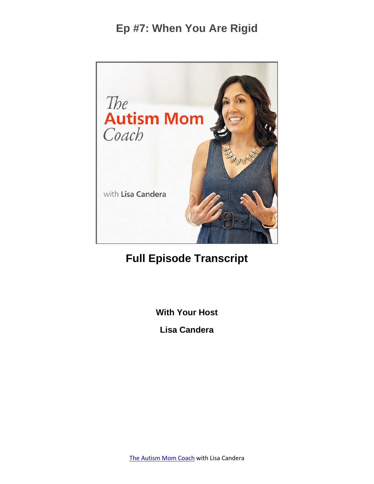

### **Full Episode Transcript**

**With Your Host**

**Lisa Candera**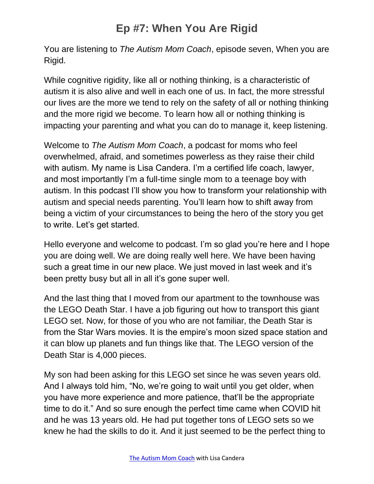You are listening to *The Autism Mom Coach*, episode seven, When you are Rigid.

While cognitive rigidity, like all or nothing thinking, is a characteristic of autism it is also alive and well in each one of us. In fact, the more stressful our lives are the more we tend to rely on the safety of all or nothing thinking and the more rigid we become. To learn how all or nothing thinking is impacting your parenting and what you can do to manage it, keep listening.

Welcome to *The Autism Mom Coach*, a podcast for moms who feel overwhelmed, afraid, and sometimes powerless as they raise their child with autism. My name is Lisa Candera. I'm a certified life coach, lawyer, and most importantly I'm a full-time single mom to a teenage boy with autism. In this podcast I'll show you how to transform your relationship with autism and special needs parenting. You'll learn how to shift away from being a victim of your circumstances to being the hero of the story you get to write. Let's get started.

Hello everyone and welcome to podcast. I'm so glad you're here and I hope you are doing well. We are doing really well here. We have been having such a great time in our new place. We just moved in last week and it's been pretty busy but all in all it's gone super well.

And the last thing that I moved from our apartment to the townhouse was the LEGO Death Star. I have a job figuring out how to transport this giant LEGO set. Now, for those of you who are not familiar, the Death Star is from the Star Wars movies. It is the empire's moon sized space station and it can blow up planets and fun things like that. The LEGO version of the Death Star is 4,000 pieces.

My son had been asking for this LEGO set since he was seven years old. And I always told him, "No, we're going to wait until you get older, when you have more experience and more patience, that'll be the appropriate time to do it." And so sure enough the perfect time came when COVID hit and he was 13 years old. He had put together tons of LEGO sets so we knew he had the skills to do it. And it just seemed to be the perfect thing to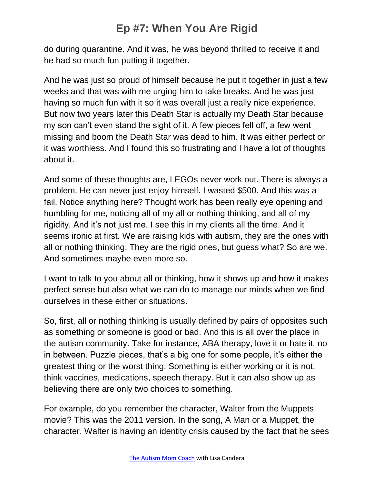do during quarantine. And it was, he was beyond thrilled to receive it and he had so much fun putting it together.

And he was just so proud of himself because he put it together in just a few weeks and that was with me urging him to take breaks. And he was just having so much fun with it so it was overall just a really nice experience. But now two years later this Death Star is actually my Death Star because my son can't even stand the sight of it. A few pieces fell off, a few went missing and boom the Death Star was dead to him. It was either perfect or it was worthless. And I found this so frustrating and I have a lot of thoughts about it.

And some of these thoughts are, LEGOs never work out. There is always a problem. He can never just enjoy himself. I wasted \$500. And this was a fail. Notice anything here? Thought work has been really eye opening and humbling for me, noticing all of my all or nothing thinking, and all of my rigidity. And it's not just me. I see this in my clients all the time. And it seems ironic at first. We are raising kids with autism, they are the ones with all or nothing thinking. They are the rigid ones, but guess what? So are we. And sometimes maybe even more so.

I want to talk to you about all or thinking, how it shows up and how it makes perfect sense but also what we can do to manage our minds when we find ourselves in these either or situations.

So, first, all or nothing thinking is usually defined by pairs of opposites such as something or someone is good or bad. And this is all over the place in the autism community. Take for instance, ABA therapy, love it or hate it, no in between. Puzzle pieces, that's a big one for some people, it's either the greatest thing or the worst thing. Something is either working or it is not, think vaccines, medications, speech therapy. But it can also show up as believing there are only two choices to something.

For example, do you remember the character, Walter from the Muppets movie? This was the 2011 version. In the song, A Man or a Muppet, the character, Walter is having an identity crisis caused by the fact that he sees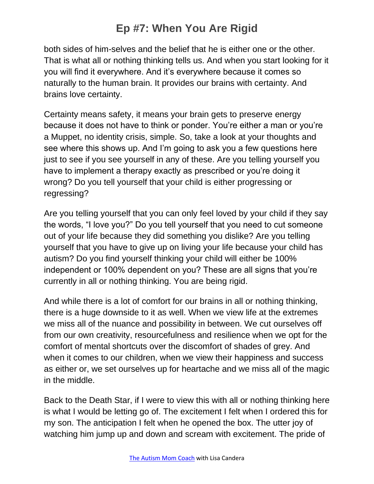both sides of him-selves and the belief that he is either one or the other. That is what all or nothing thinking tells us. And when you start looking for it you will find it everywhere. And it's everywhere because it comes so naturally to the human brain. It provides our brains with certainty. And brains love certainty.

Certainty means safety, it means your brain gets to preserve energy because it does not have to think or ponder. You're either a man or you're a Muppet, no identity crisis, simple. So, take a look at your thoughts and see where this shows up. And I'm going to ask you a few questions here just to see if you see yourself in any of these. Are you telling yourself you have to implement a therapy exactly as prescribed or you're doing it wrong? Do you tell yourself that your child is either progressing or regressing?

Are you telling yourself that you can only feel loved by your child if they say the words, "I love you?" Do you tell yourself that you need to cut someone out of your life because they did something you dislike? Are you telling yourself that you have to give up on living your life because your child has autism? Do you find yourself thinking your child will either be 100% independent or 100% dependent on you? These are all signs that you're currently in all or nothing thinking. You are being rigid.

And while there is a lot of comfort for our brains in all or nothing thinking, there is a huge downside to it as well. When we view life at the extremes we miss all of the nuance and possibility in between. We cut ourselves off from our own creativity, resourcefulness and resilience when we opt for the comfort of mental shortcuts over the discomfort of shades of grey. And when it comes to our children, when we view their happiness and success as either or, we set ourselves up for heartache and we miss all of the magic in the middle.

Back to the Death Star, if I were to view this with all or nothing thinking here is what I would be letting go of. The excitement I felt when I ordered this for my son. The anticipation I felt when he opened the box. The utter joy of watching him jump up and down and scream with excitement. The pride of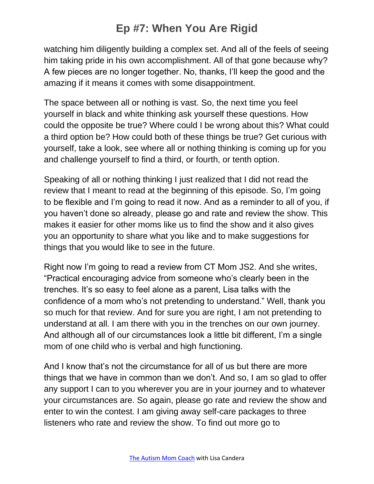watching him diligently building a complex set. And all of the feels of seeing him taking pride in his own accomplishment. All of that gone because why? A few pieces are no longer together. No, thanks, I'll keep the good and the amazing if it means it comes with some disappointment.

The space between all or nothing is vast. So, the next time you feel yourself in black and white thinking ask yourself these questions. How could the opposite be true? Where could I be wrong about this? What could a third option be? How could both of these things be true? Get curious with yourself, take a look, see where all or nothing thinking is coming up for you and challenge yourself to find a third, or fourth, or tenth option.

Speaking of all or nothing thinking I just realized that I did not read the review that I meant to read at the beginning of this episode. So, I'm going to be flexible and I'm going to read it now. And as a reminder to all of you, if you haven't done so already, please go and rate and review the show. This makes it easier for other moms like us to find the show and it also gives you an opportunity to share what you like and to make suggestions for things that you would like to see in the future.

Right now I'm going to read a review from CT Mom JS2. And she writes, "Practical encouraging advice from someone who's clearly been in the trenches. It's so easy to feel alone as a parent, Lisa talks with the confidence of a mom who's not pretending to understand." Well, thank you so much for that review. And for sure you are right, I am not pretending to understand at all. I am there with you in the trenches on our own journey. And although all of our circumstances look a little bit different, I'm a single mom of one child who is verbal and high functioning.

And I know that's not the circumstance for all of us but there are more things that we have in common than we don't. And so, I am so glad to offer any support I can to you wherever you are in your journey and to whatever your circumstances are. So again, please go rate and review the show and enter to win the contest. I am giving away self-care packages to three listeners who rate and review the show. To find out more go to